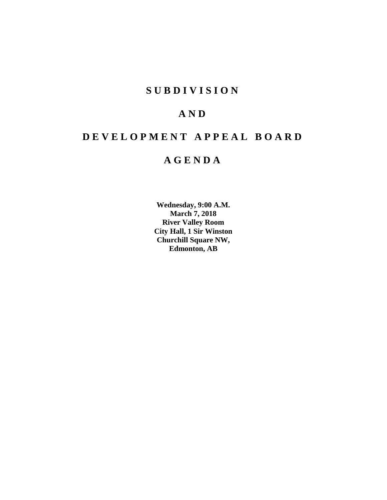## **SUBDIVISION**

## **AND**

# **DEVELOPMENT APPEAL BOARD**

## **AGENDA**

**Wednesday, 9:00 A.M. March 7, 2018 River Valley Room City Hall, 1 Sir Winston Churchill Square NW, Edmonton, AB**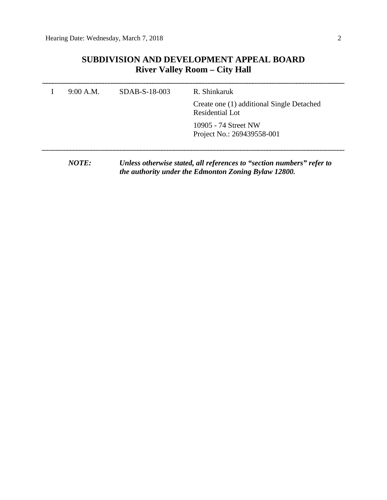### **SUBDIVISION AND DEVELOPMENT APPEAL BOARD River Valley Room – City Hall**

| 9:00 A.M. | SDAB-S-18-003 | R. Shinkaruk                                                                                                                  |
|-----------|---------------|-------------------------------------------------------------------------------------------------------------------------------|
|           |               | Create one (1) additional Single Detached<br>Residential Lot                                                                  |
|           |               | 10905 - 74 Street NW<br>Project No.: 269439558-001                                                                            |
| NOTE:     |               | Unless otherwise stated, all references to "section numbers" refer to<br>the authority under the Edmonton Zoning Bylaw 12800. |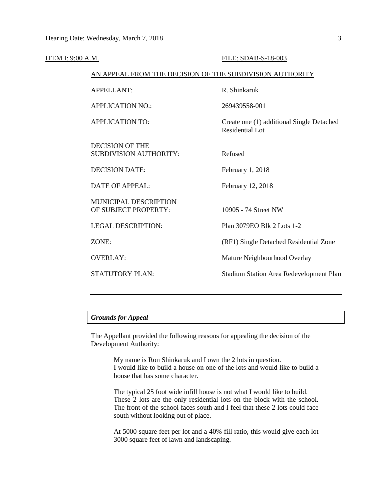| <b>ITEM I: 9:00 A.M.</b> |                                                          | FILE: SDAB-S-18-003                                                 |
|--------------------------|----------------------------------------------------------|---------------------------------------------------------------------|
|                          | AN APPEAL FROM THE DECISION OF THE SUBDIVISION AUTHORITY |                                                                     |
|                          | APPELLANT:                                               | R. Shinkaruk                                                        |
|                          | <b>APPLICATION NO.:</b>                                  | 269439558-001                                                       |
|                          | <b>APPLICATION TO:</b>                                   | Create one (1) additional Single Detached<br><b>Residential Lot</b> |
|                          | <b>DECISION OF THE</b><br><b>SUBDIVISION AUTHORITY:</b>  | Refused                                                             |
|                          | <b>DECISION DATE:</b>                                    | February 1, 2018                                                    |
|                          | <b>DATE OF APPEAL:</b>                                   | February 12, 2018                                                   |
|                          | <b>MUNICIPAL DESCRIPTION</b><br>OF SUBJECT PROPERTY:     | 10905 - 74 Street NW                                                |
|                          | <b>LEGAL DESCRIPTION:</b>                                | Plan 3079EO Blk 2 Lots 1-2                                          |
|                          | ZONE:                                                    | (RF1) Single Detached Residential Zone                              |
|                          | <b>OVERLAY:</b>                                          | Mature Neighbourhood Overlay                                        |
|                          | <b>STATUTORY PLAN:</b>                                   | Stadium Station Area Redevelopment Plan                             |
|                          |                                                          |                                                                     |

### *Grounds for Appeal*

The Appellant provided the following reasons for appealing the decision of the Development Authority:

> My name is Ron Shinkaruk and I own the 2 lots in question. I would like to build a house on one of the lots and would like to build a house that has some character.

> The typical 25 foot wide infill house is not what I would like to build. These 2 lots are the only residential lots on the block with the school. The front of the school faces south and I feel that these 2 lots could face south without looking out of place.

> At 5000 square feet per lot and a 40% fill ratio, this would give each lot 3000 square feet of lawn and landscaping.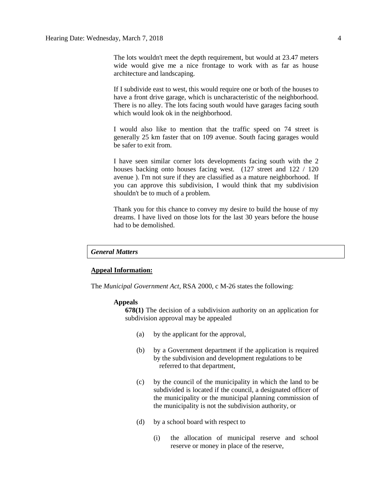The lots wouldn't meet the depth requirement, but would at 23.47 meters wide would give me a nice frontage to work with as far as house architecture and landscaping.

If I subdivide east to west, this would require one or both of the houses to have a front drive garage, which is uncharacteristic of the neighborhood. There is no alley. The lots facing south would have garages facing south which would look ok in the neighborhood.

I would also like to mention that the traffic speed on 74 street is generally 25 km faster that on 109 avenue. South facing garages would be safer to exit from.

I have seen similar corner lots developments facing south with the 2 houses backing onto houses facing west. (127 street and 122 / 120 avenue ). I'm not sure if they are classified as a mature neighborhood. If you can approve this subdivision, I would think that my subdivision shouldn't be to much of a problem.

Thank you for this chance to convey my desire to build the house of my dreams. I have lived on those lots for the last 30 years before the house had to be demolished.

#### *General Matters*

#### **Appeal Information:**

The *Municipal Government Act*, RSA 2000, c M-26 states the following:

#### **Appeals**

**678(1)** The decision of a subdivision authority on an application for subdivision approval may be appealed

- (a) by the applicant for the approval,
- (b) by a Government department if the application is required by the subdivision and development regulations to be referred to that department,
- (c) by the council of the municipality in which the land to be subdivided is located if the council, a designated officer of the municipality or the municipal planning commission of the municipality is not the subdivision authority, or
- (d) by a school board with respect to
	- (i) the allocation of municipal reserve and school reserve or money in place of the reserve,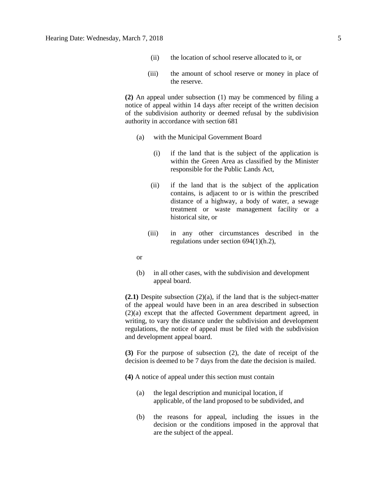- (ii) the location of school reserve allocated to it, or
- (iii) the amount of school reserve or money in place of the reserve.

**(2)** An appeal under subsection (1) may be commenced by filing a notice of appeal within 14 days after receipt of the written decision of the subdivision authority or deemed refusal by the subdivision authority in accordance with section 681

- (a) with the Municipal Government Board
	- (i) if the land that is the subject of the application is within the Green Area as classified by the Minister responsible for the Public Lands Act,
	- (ii) if the land that is the subject of the application contains, is adjacent to or is within the prescribed distance of a highway, a body of water, a sewage treatment or waste management facility or a historical site, or
	- (iii) in any other circumstances described in the regulations under section 694(1)(h.2),

or

(b) in all other cases, with the subdivision and development appeal board.

**(2.1)** Despite subsection (2)(a), if the land that is the subject-matter of the appeal would have been in an area described in subsection (2)(a) except that the affected Government department agreed, in writing, to vary the distance under the subdivision and development regulations, the notice of appeal must be filed with the subdivision and development appeal board.

**(3)** For the purpose of subsection (2), the date of receipt of the decision is deemed to be 7 days from the date the decision is mailed.

**(4)** A notice of appeal under this section must contain

- (a) the legal description and municipal location, if applicable, of the land proposed to be subdivided, and
- (b) the reasons for appeal, including the issues in the decision or the conditions imposed in the approval that are the subject of the appeal.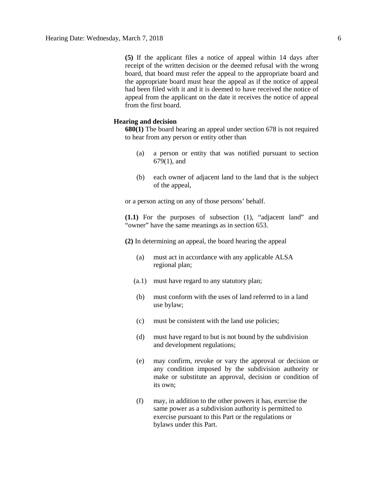**(5)** If the applicant files a notice of appeal within 14 days after receipt of the written decision or the deemed refusal with the wrong board, that board must refer the appeal to the appropriate board and the appropriate board must hear the appeal as if the notice of appeal had been filed with it and it is deemed to have received the notice of appeal from the applicant on the date it receives the notice of appeal from the first board.

### **Hearing and decision**

**680(1)** The board hearing an appeal under section 678 is not required to hear from any person or entity other than

- (a) a person or entity that was notified pursuant to section 679(1), and
- (b) each owner of adjacent land to the land that is the subject of the appeal,

or a person acting on any of those persons' behalf.

**(1.1)** For the purposes of subsection (1), "adjacent land" and "owner" have the same meanings as in section 653.

**(2)** In determining an appeal, the board hearing the appeal

- (a) must act in accordance with any applicable ALSA regional plan;
- (a.1) must have regard to any statutory plan;
- (b) must conform with the uses of land referred to in a land use bylaw;
- (c) must be consistent with the land use policies;
- (d) must have regard to but is not bound by the subdivision and development regulations;
- (e) may confirm, revoke or vary the approval or decision or any condition imposed by the subdivision authority or make or substitute an approval, decision or condition of its own;
- (f) may, in addition to the other powers it has, exercise the same power as a subdivision authority is permitted to exercise pursuant to this Part or the regulations or bylaws under this Part.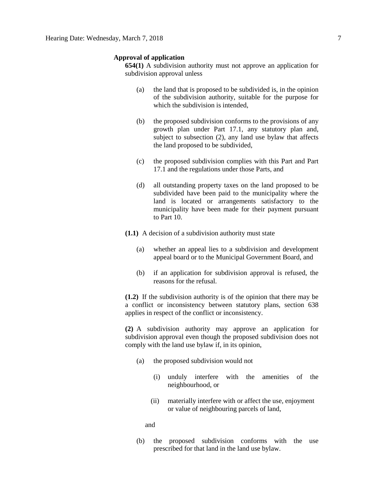#### **Approval of application**

**654(1)** A subdivision authority must not approve an application for subdivision approval unless

- (a) the land that is proposed to be subdivided is, in the opinion of the subdivision authority, suitable for the purpose for which the subdivision is intended.
- (b) the proposed subdivision conforms to the provisions of any growth plan under Part 17.1, any statutory plan and, subject to subsection (2), any land use bylaw that affects the land proposed to be subdivided,
- (c) the proposed subdivision complies with this Part and Part 17.1 and the regulations under those Parts, and
- (d) all outstanding property taxes on the land proposed to be subdivided have been paid to the municipality where the land is located or arrangements satisfactory to the municipality have been made for their payment pursuant to Part 10.
- **(1.1)** A decision of a subdivision authority must state
	- (a) whether an appeal lies to a subdivision and development appeal board or to the Municipal Government Board, and
	- (b) if an application for subdivision approval is refused, the reasons for the refusal.

**(1.2)** If the subdivision authority is of the opinion that there may be a conflict or inconsistency between statutory plans, section 638 applies in respect of the conflict or inconsistency.

**(2)** A subdivision authority may approve an application for subdivision approval even though the proposed subdivision does not comply with the land use bylaw if, in its opinion,

- (a) the proposed subdivision would not
	- (i) unduly interfere with the amenities of the neighbourhood, or
	- (ii) materially interfere with or affect the use, enjoyment or value of neighbouring parcels of land,

and

(b) the proposed subdivision conforms with the use prescribed for that land in the land use bylaw.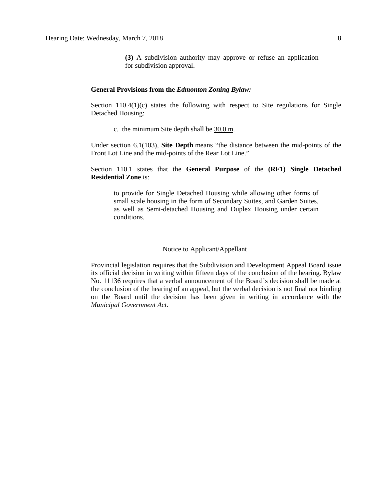**(3)** A subdivision authority may approve or refuse an application for subdivision approval.

#### **General Provisions from the** *Edmonton Zoning Bylaw:*

Section  $110.4(1)(c)$  states the following with respect to Site regulations for Single Detached Housing:

c. the minimum Site depth shall be 30.0 m.

Under section 6.1(103), **Site Depth** means "the distance between the mid-points of the Front Lot Line and the mid-points of the Rear Lot Line."

Section 110.1 states that the **General Purpose** of the **(RF1) Single Detached Residential Zone** is:

to provide for Single Detached Housing while allowing other forms of small scale housing in the form of Secondary Suites, and Garden Suites, as well as Semi-detached Housing and Duplex Housing under certain conditions.

#### Notice to Applicant/Appellant

Provincial legislation requires that the Subdivision and Development Appeal Board issue its official decision in writing within fifteen days of the conclusion of the hearing. Bylaw No. 11136 requires that a verbal announcement of the Board's decision shall be made at the conclusion of the hearing of an appeal, but the verbal decision is not final nor binding on the Board until the decision has been given in writing in accordance with the *Municipal Government Act*.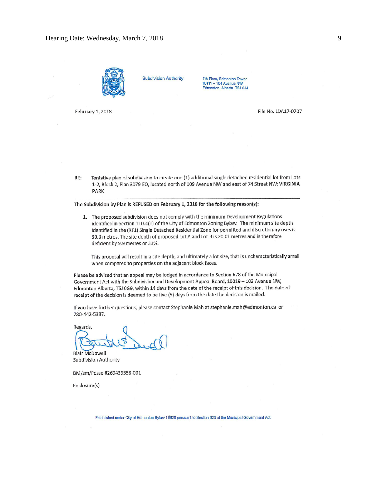



**Subdivision Authority** 

7th Floor, Edmonton Tower 10111 - 104 Avenue NW Edmonton, Alberta T5J 0J4

February 1, 2018

File No. LDA17-0707

Tentative plan of subdivision to create one (1) additional single detached residential lot from Lots RE: 1-2, Block 2, Plan 3079 EO, located north of 109 Avenue NW and east of 74 Street NW; VIRGINIA **PARK** 

The Subdivision by Plan is REFUSED on February 1, 2018 for the following reason(s):

1. The proposed subdivision does not comply with the minimum Development Regulations identified in Section 110.4(1) of the City of Edmonton Zoning Bylaw. The minimum site depth identified in the (RF1) Single Detached Residential Zone for permitted and discretionary uses is 30.0 metres. The site depth of proposed Lot A and Lot B is 20.01 metres and is therefore deficient by 9.9 metres or 33%.

This proposal will result in a site depth, and ultimately a lot size, that is uncharacteristically small when compared to properties on the adjacent block faces.

Please be advised that an appeal may be lodged in accordance to Section 678 of the Municipal Government Act with the Subdivision and Development Appeal Board, 10019 - 103 Avenue NW, Edmonton Alberta, T5J 0G9, within 14 days from the date of the receipt of this decision. The date of receipt of the decision is deemed to be five (5) days from the date the decision is mailed.

If you have further questions, please contact Stephanie Mah at stephanie.mah@edmonton.ca or 780-442-5387.

Regards,

**Blair McDowell Subdivision Authority** 

BM/sm/Posse #269439558-001

Enclosure(s)

Established under City of Edmonton Bylaw 16620 pursuant to Section 623 of the Municipal Government Act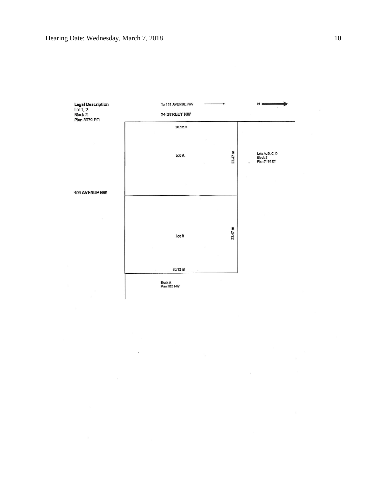

 $\bar{a}$ 

 $\lambda$